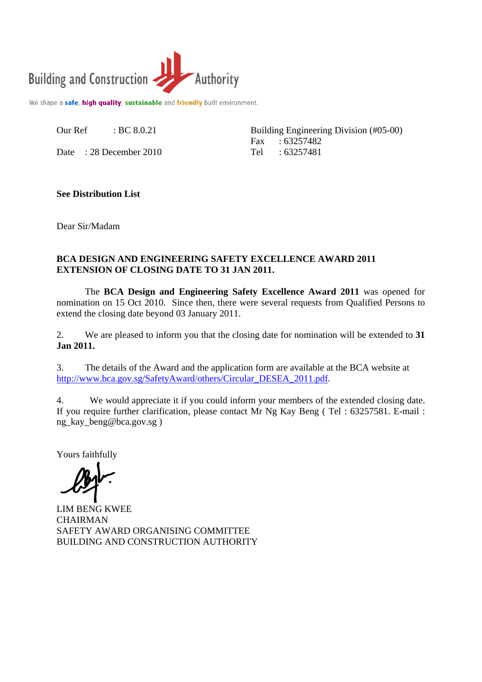

We shape a safe, high quality, sustainable and friendly built environment.

Our Ref : BC 8.0.21

Date : 28 December 2010

Building Engineering Division (#05-00) Fax : 63257482 Tel : 63257481

## **See Distribution List**

Dear Sir/Madam

## **BCA DESIGN AND ENGINEERING SAFETY EXCELLENCE AWARD 2011 EXTENSION OF CLOSING DATE TO 31 JAN 2011.**

 The **BCA Design and Engineering Safety Excellence Award 2011** was opened for nomination on 15 Oct 2010. Since then, there were several requests from Qualified Persons to extend the closing date beyond 03 January 2011.

2. We are pleased to inform you that the closing date for nomination will be extended to **31 Jan 2011.** 

3. The details of the Award and the application form are available at the BCA website at http://www.bca.gov.sg/SafetyAward/others/Circular\_DESEA\_2011.pdf.

4. We would appreciate it if you could inform your members of the extended closing date. If you require further clarification, please contact Mr Ng Kay Beng ( Tel : 63257581. E-mail : ng kay beng@bca.gov.sg )

Yours faithfully

LIM BENG KWEE **CHAIRMAN** SAFETY AWARD ORGANISING COMMITTEE BUILDING AND CONSTRUCTION AUTHORITY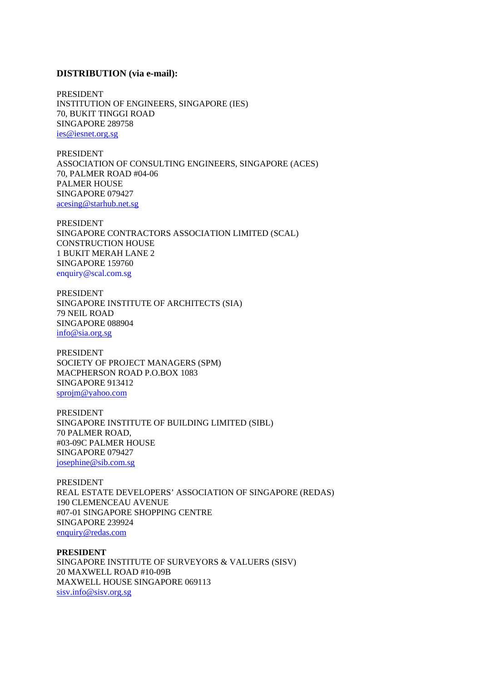## **DISTRIBUTION (via e-mail):**

PRESIDENT INSTITUTION OF ENGINEERS, SINGAPORE (IES) 70, BUKIT TINGGI ROAD SINGAPORE 289758 ies@iesnet.org.sg

PRESIDENT ASSOCIATION OF CONSULTING ENGINEERS, SINGAPORE (ACES) 70, PALMER ROAD #04-06 PALMER HOUSE SINGAPORE 079427 acesing@starhub.net.sg

PRESIDENT SINGAPORE CONTRACTORS ASSOCIATION LIMITED (SCAL) CONSTRUCTION HOUSE 1 BUKIT MERAH LANE 2 SINGAPORE 159760 enquiry@scal.com.sg

PRESIDENT SINGAPORE INSTITUTE OF ARCHITECTS (SIA) 79 NEIL ROAD SINGAPORE 088904 info@sia.org.sg

PRESIDENT SOCIETY OF PROJECT MANAGERS (SPM) MACPHERSON ROAD P.O.BOX 1083 SINGAPORE 913412 sprojm@yahoo.com

PRESIDENT SINGAPORE INSTITUTE OF BUILDING LIMITED (SIBL) 70 PALMER ROAD, #03-09C PALMER HOUSE SINGAPORE 079427 josephine@sib.com.sg

PRESIDENT REAL ESTATE DEVELOPERS' ASSOCIATION OF SINGAPORE (REDAS) 190 CLEMENCEAU AVENUE #07-01 SINGAPORE SHOPPING CENTRE SINGAPORE 239924 enquiry@redas.com

**PRESIDENT**  SINGAPORE INSTITUTE OF SURVEYORS & VALUERS (SISV) 20 MAXWELL ROAD #10-09B MAXWELL HOUSE SINGAPORE 069113 sisv.info@sisv.org.sg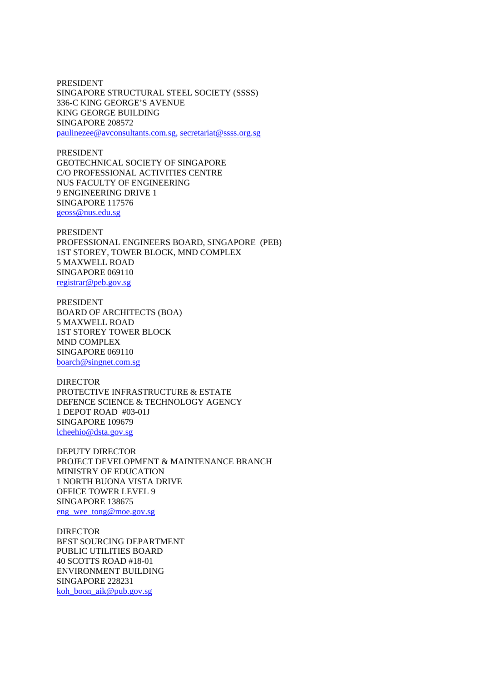PRESIDENT SINGAPORE STRUCTURAL STEEL SOCIETY (SSSS) 336-C KING GEORGE'S AVENUE KING GEORGE BUILDING SINGAPORE 208572 paulinezee@avconsultants.com.sg, secretariat@ssss.org.sg

PRESIDENT GEOTECHNICAL SOCIETY OF SINGAPORE C/O PROFESSIONAL ACTIVITIES CENTRE NUS FACULTY OF ENGINEERING 9 ENGINEERING DRIVE 1 SINGAPORE 117576 geoss@nus.edu.sg

PRESIDENT PROFESSIONAL ENGINEERS BOARD, SINGAPORE (PEB) 1ST STOREY, TOWER BLOCK, MND COMPLEX 5 MAXWELL ROAD SINGAPORE 069110 registrar@peb.gov.sg

PRESIDENT BOARD OF ARCHITECTS (BOA) 5 MAXWELL ROAD 1ST STOREY TOWER BLOCK MND COMPLEX SINGAPORE 069110 boarch@singnet.com.sg

DIRECTOR PROTECTIVE INFRASTRUCTURE & ESTATE DEFENCE SCIENCE & TECHNOLOGY AGENCY 1 DEPOT ROAD #03-01J SINGAPORE 109679 lcheehio@dsta.gov.sg

DEPUTY DIRECTOR PROJECT DEVELOPMENT & MAINTENANCE BRANCH MINISTRY OF EDUCATION 1 NORTH BUONA VISTA DRIVE OFFICE TOWER LEVEL 9 SINGAPORE 138675 eng\_wee\_tong@moe.gov.sg

DIRECTOR BEST SOURCING DEPARTMENT PUBLIC UTILITIES BOARD 40 SCOTTS ROAD #18-01 ENVIRONMENT BUILDING SINGAPORE 228231 koh boon aik@pub.gov.sg